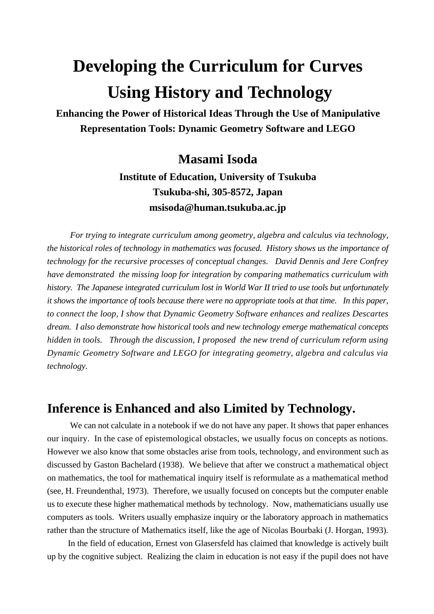# **Developing the Curriculum for Curves Using History and Technology**

**Enhancing the Power of Historical Ideas Through the Use of Manipulative Representation Tools: Dynamic Geometry Software and LEGO**

### **Masami Isoda**

**Institute of Education, University of Tsukuba Tsukuba-shi, 305-8572, Japan msisoda@human.tsukuba.ac.jp**

 *For trying to integrate curriculum among geometry, algebra and calculus via technology, the historical roles of technology in mathematics was focused. History shows us the importance of technology for the recursive processes of conceptual changes. David Dennis and Jere Confrey have demonstrated the missing loop for integration by comparing mathematics curriculum with history. The Japanese integrated curriculum lost in World War II tried to use tools but unfortunately it shows the importance of tools because there were no appropriate tools at that time. In this paper, to connect the loop, I show that Dynamic Geometry Software enhances and realizes Descartes dream. I also demonstrate how historical tools and new technology emerge mathematical concepts hidden in tools. Through the discussion, I proposed the new trend of curriculum reform using Dynamic Geometry Software and LEGO for integrating geometry, algebra and calculus via technology.*

### **Inference is Enhanced and also Limited by Technology.**

We can not calculate in a notebook if we do not have any paper. It shows that paper enhances our inquiry. In the case of epistemological obstacles, we usually focus on concepts as notions. However we also know that some obstacles arise from tools, technology, and environment such as discussed by Gaston Bachelard (1938). We believe that after we construct a mathematical object on mathematics, the tool for mathematical inquiry itself is reformulate as a mathematical method (see, H. Freundenthal, 1973). Therefore, we usually focused on concepts but the computer enable us to execute these higher mathematical methods by technology. Now, mathematicians usually use computers as tools. Writers usually emphasize inquiry or the laboratory approach in mathematics rather than the structure of Mathematics itself, like the age of Nicolas Bourbaki (J. Horgan, 1993).

In the field of education, Ernest von Glasersfeld has claimed that knowledge is actively built up by the cognitive subject. Realizing the claim in education is not easy if the pupil does not have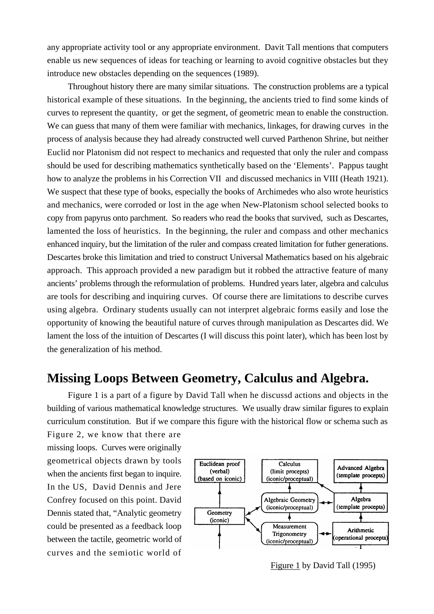any appropriate activity tool or any appropriate environment. Davit Tall mentions that computers enable us new sequences of ideas for teaching or learning to avoid cognitive obstacles but they introduce new obstacles depending on the sequences (1989).

Throughout history there are many similar situations. The construction problems are a typical historical example of these situations. In the beginning, the ancients tried to find some kinds of curves to represent the quantity, or get the segment, of geometric mean to enable the construction. We can guess that many of them were familiar with mechanics, linkages, for drawing curves in the process of analysis because they had already constructed well curved Parthenon Shrine, but neither Euclid nor Platonism did not respect to mechanics and requested that only the ruler and compass should be used for describing mathematics synthetically based on the 'Elements'. Pappus taught how to analyze the problems in his Correction VII and discussed mechanics in VIII (Heath 1921). We suspect that these type of books, especially the books of Archimedes who also wrote heuristics and mechanics, were corroded or lost in the age when New-Platonism school selected books to copy from papyrus onto parchment. So readers who read the books that survived, such as Descartes, lamented the loss of heuristics. In the beginning, the ruler and compass and other mechanics enhanced inquiry, but the limitation of the ruler and compass created limitation for futher generations. Descartes broke this limitation and tried to construct Universal Mathematics based on his algebraic approach. This approach provided a new paradigm but it robbed the attractive feature of many ancients' problems through the reformulation of problems. Hundred years later, algebra and calculus are tools for describing and inquiring curves. Of course there are limitations to describe curves using algebra. Ordinary students usually can not interpret algebraic forms easily and lose the opportunity of knowing the beautiful nature of curves through manipulation as Descartes did. We lament the loss of the intuition of Descartes (I will discuss this point later), which has been lost by the generalization of his method.

### **Missing Loops Between Geometry, Calculus and Algebra.**

Figure 1 is a part of a figure by David Tall when he discussd actions and objects in the building of various mathematical knowledge structures. We usually draw similar figures to explain curriculum constitution. But if we compare this figure with the historical flow or schema such as

Figure 2, we know that there are missing loops. Curves were originally geometrical objects drawn by tools when the ancients first began to inquire. In the US, David Dennis and Jere Confrey focused on this point. David Dennis stated that, "Analytic geometry could be presented as a feedback loop between the tactile, geometric world of curves and the semiotic world of



Figure 1 by David Tall (1995)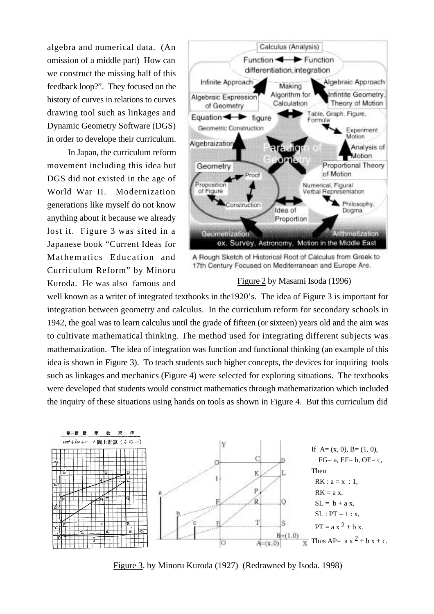algebra and numerical data. (An omission of a middle part) How can we construct the missing half of this feedback loop?". They focused on the history of curves in relations to curves drawing tool such as linkages and Dynamic Geometry Software (DGS) in order to develope their curriculum.

In Japan, the curriculum reform movement including this idea but DGS did not existed in the age of World War II. Modernization generations like myself do not know anything about it because we already lost it. Figure 3 was sited in a Japanese book "Current Ideas for Mathematics Education and Curriculum Reform" by Minoru Kuroda. He was also famous and



A Rough Sketch of Historical Root of Calculus from Greek to 17th Century Focused on Mediterranean and Europe Are.

#### Figure 2 by Masami Isoda (1996)

well known as a writer of integrated textbooks in the1920's. The idea of Figure 3 is important for integration between geometry and calculus. In the curriculum reform for secondary schools in 1942, the goal was to learn calculus until the grade of fifteen (or sixteen) years old and the aim was to cultivate mathematical thinking. The method used for integrating different subjects was mathematization. The idea of integration was function and functional thinking (an example of this idea is shown in Figure 3). To teach students such higher concepts, the devices for inquiring tools such as linkages and mechanics (Figure 4) were selected for exploring situations. The textbooks were developed that students would construct mathematics through mathematization which included the inquiry of these situations using hands on tools as shown in Figure 4. But this curriculum did



Figure 3. by Minoru Kuroda (1927) (Redrawned by Isoda. 1998)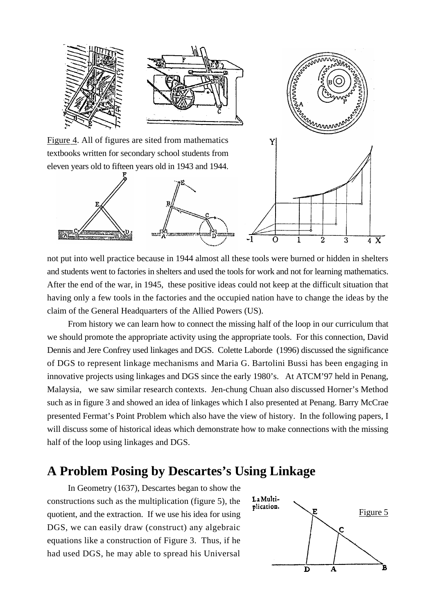

not put into well practice because in 1944 almost all these tools were burned or hidden in shelters and students went to factories in shelters and used the tools for work and not for learning mathematics. After the end of the war, in 1945, these positive ideas could not keep at the difficult situation that having only a few tools in the factories and the occupied nation have to change the ideas by the claim of the General Headquarters of the Allied Powers (US).

From history we can learn how to connect the missing half of the loop in our curriculum that we should promote the appropriate activity using the appropriate tools. For this connection, David Dennis and Jere Confrey used linkages and DGS. Colette Laborde (1996) discussed the significance of DGS to represent linkage mechanisms and Maria G. Bartolini Bussi has been engaging in innovative projects using linkages and DGS since the early 1980's. At ATCM'97 held in Penang, Malaysia, we saw similar research contexts. Jen-chung Chuan also discussed Horner's Method such as in figure 3 and showed an idea of linkages which I also presented at Penang. Barry McCrae presented Fermat's Point Problem which also have the view of history. In the following papers, I will discuss some of historical ideas which demonstrate how to make connections with the missing half of the loop using linkages and DGS.

### **A Problem Posing by Descartes's Using Linkage**

In Geometry (1637), Descartes began to show the constructions such as the multiplication (figure 5), the quotient, and the extraction. If we use his idea for using DGS, we can easily draw (construct) any algebraic equations like a construction of Figure 3. Thus, if he had used DGS, he may able to spread his Universal

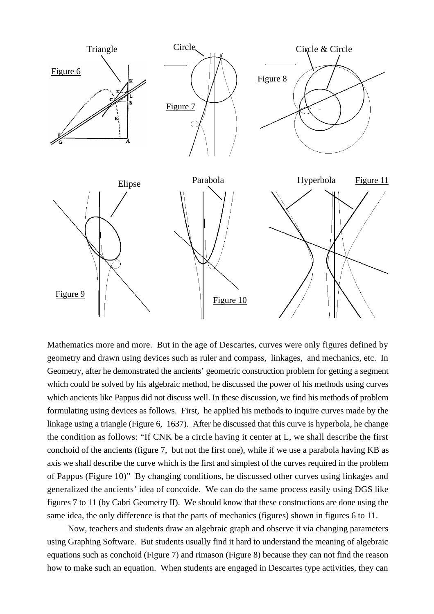

Mathematics more and more. But in the age of Descartes, curves were only figures defined by geometry and drawn using devices such as ruler and compass, linkages, and mechanics, etc. In Geometry, after he demonstrated the ancients' geometric construction problem for getting a segment which could be solved by his algebraic method, he discussed the power of his methods using curves which ancients like Pappus did not discuss well. In these discussion, we find his methods of problem formulating using devices as follows. First, he applied his methods to inquire curves made by the linkage using a triangle (Figure 6, 1637). After he discussed that this curve is hyperbola, he change the condition as follows: "If CNK be a circle having it center at L, we shall describe the first conchoid of the ancients (figure 7, but not the first one), while if we use a parabola having KB as axis we shall describe the curve which is the first and simplest of the curves required in the problem of Pappus (Figure 10)" By changing conditions, he discussed other curves using linkages and generalized the ancients' idea of concoide. We can do the same process easily using DGS like figures 7 to 11 (by Cabri Geometry II). We should know that these constructions are done using the same idea, the only difference is that the parts of mechanics (figures) shown in figures 6 to 11.

Now, teachers and students draw an algebraic graph and observe it via changing parameters using Graphing Software. But students usually find it hard to understand the meaning of algebraic equations such as conchoid (Figure 7) and rimason (Figure 8) because they can not find the reason how to make such an equation. When students are engaged in Descartes type activities, they can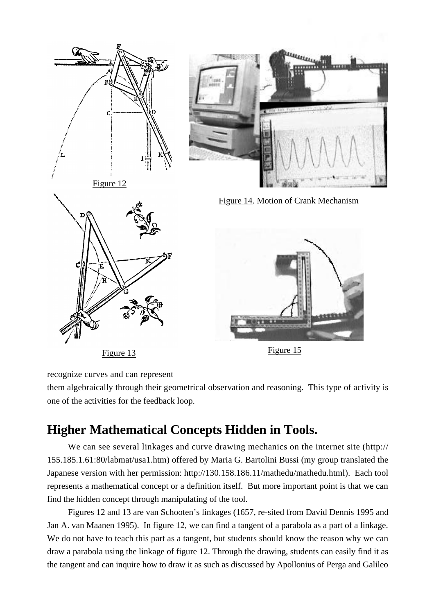

recognize curves and can represent

them algebraically through their geometrical observation and reasoning. This type of activity is one of the activities for the feedback loop.

## **Higher Mathematical Concepts Hidden in Tools.**

We can see several linkages and curve drawing mechanics on the internet site (http:// 155.185.1.61:80/labmat/usa1.htm) offered by Maria G. Bartolini Bussi (my group translated the Japanese version with her permission: http://130.158.186.11/mathedu/mathedu.html). Each tool represents a mathematical concept or a definition itself. But more important point is that we can find the hidden concept through manipulating of the tool.

Figures 12 and 13 are van Schooten's linkages (1657, re-sited from David Dennis 1995 and Jan A. van Maanen 1995). In figure 12, we can find a tangent of a parabola as a part of a linkage. We do not have to teach this part as a tangent, but students should know the reason why we can draw a parabola using the linkage of figure 12. Through the drawing, students can easily find it as the tangent and can inquire how to draw it as such as discussed by Apollonius of Perga and Galileo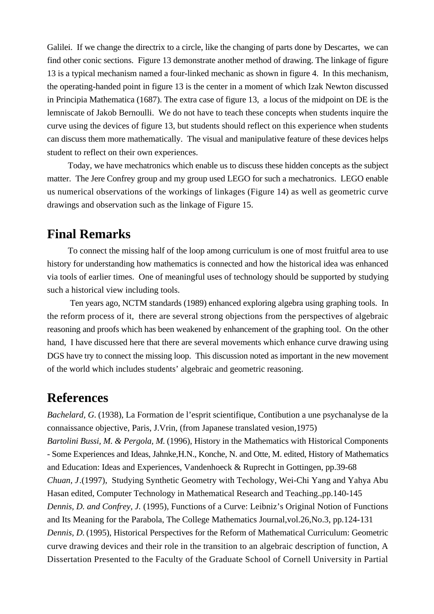Galilei. If we change the directrix to a circle, like the changing of parts done by Descartes, we can find other conic sections. Figure 13 demonstrate another method of drawing. The linkage of figure 13 is a typical mechanism named a four-linked mechanic as shown in figure 4. In this mechanism, the operating-handed point in figure 13 is the center in a moment of which Izak Newton discussed in Principia Mathematica (1687). The extra case of figure 13, a locus of the midpoint on DE is the lemniscate of Jakob Bernoulli. We do not have to teach these concepts when students inquire the curve using the devices of figure 13, but students should reflect on this experience when students can discuss them more mathematically. The visual and manipulative feature of these devices helps student to reflect on their own experiences.

Today, we have mechatronics which enable us to discuss these hidden concepts as the subject matter. The Jere Confrey group and my group used LEGO for such a mechatronics. LEGO enable us numerical observations of the workings of linkages (Figure 14) as well as geometric curve drawings and observation such as the linkage of Figure 15.

### **Final Remarks**

To connect the missing half of the loop among curriculum is one of most fruitful area to use history for understanding how mathematics is connected and how the historical idea was enhanced via tools of earlier times. One of meaningful uses of technology should be supported by studying such a historical view including tools.

 Ten years ago, NCTM standards (1989) enhanced exploring algebra using graphing tools. In the reform process of it, there are several strong objections from the perspectives of algebraic reasoning and proofs which has been weakened by enhancement of the graphing tool. On the other hand, I have discussed here that there are several movements which enhance curve drawing using DGS have try to connect the missing loop. This discussion noted as important in the new movement of the world which includes students' algebraic and geometric reasoning.

### **References**

*Bachelard, G.* (1938), La Formation de l'esprit scientifique, Contibution a une psychanalyse de la connaissance objective, Paris, J.Vrin, (from Japanese translated vesion,1975) *Bartolini Bussi, M. & Pergola, M.* (1996), History in the Mathematics with Historical Components - Some Experiences and Ideas, Jahnke,H.N., Konche, N. and Otte, M. edited, History of Mathematics and Education: Ideas and Experiences, Vandenhoeck & Ruprecht in Gottingen, pp.39-68 *Chuan, J*.(1997), Studying Synthetic Geometry with Techology, Wei-Chi Yang and Yahya Abu Hasan edited, Computer Technology in Mathematical Research and Teaching.,pp.140-145 *Dennis, D. and Confrey, J.* (1995), Functions of a Curve: Leibniz's Original Notion of Functions and Its Meaning for the Parabola, The College Mathematics Journal,vol.26,No.3, pp.124-131 *Dennis, D.* (1995), Historical Perspectives for the Reform of Mathematical Curriculum: Geometric curve drawing devices and their role in the transition to an algebraic description of function, A Dissertation Presented to the Faculty of the Graduate School of Cornell University in Partial